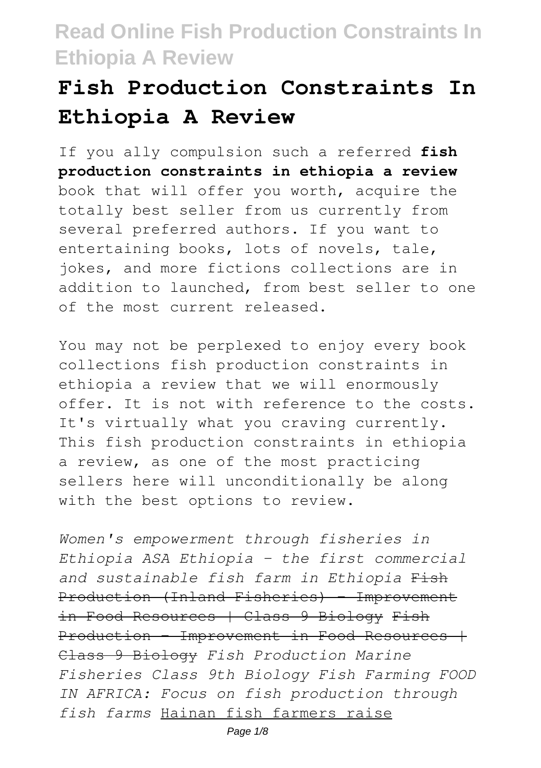# **Fish Production Constraints In Ethiopia A Review**

If you ally compulsion such a referred **fish production constraints in ethiopia a review** book that will offer you worth, acquire the totally best seller from us currently from several preferred authors. If you want to entertaining books, lots of novels, tale, jokes, and more fictions collections are in addition to launched, from best seller to one of the most current released.

You may not be perplexed to enjoy every book collections fish production constraints in ethiopia a review that we will enormously offer. It is not with reference to the costs. It's virtually what you craving currently. This fish production constraints in ethiopia a review, as one of the most practicing sellers here will unconditionally be along with the best options to review.

*Women's empowerment through fisheries in Ethiopia ASA Ethiopia - the first commercial and sustainable fish farm in Ethiopia* Fish Production (Inland Fisheries) - Improvement in Food Resources | Class 9 Biology Fish Production - Improvement in Food Resources + Class 9 Biology *Fish Production Marine Fisheries Class 9th Biology Fish Farming FOOD IN AFRICA: Focus on fish production through fish farms* Hainan fish farmers raise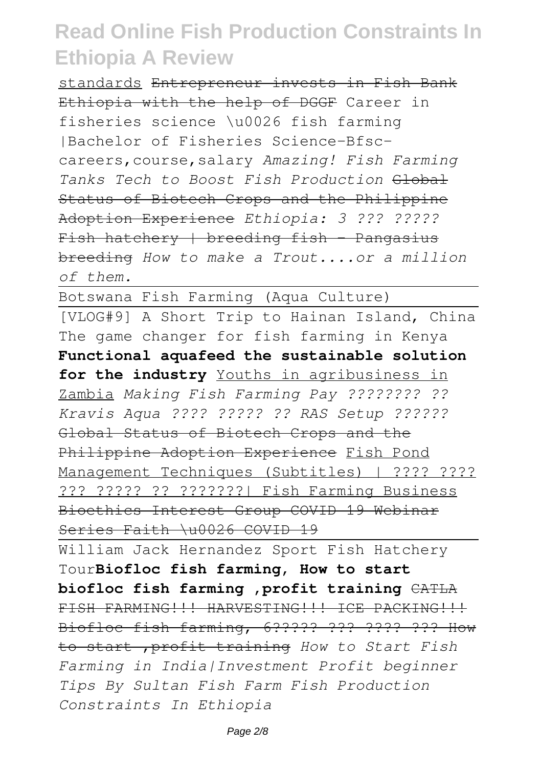standards Entrepreneur invests in Fish Bank Ethiopia with the help of DGGF Career in fisheries science \u0026 fish farming |Bachelor of Fisheries Science-Bfsccareers,course,salary *Amazing! Fish Farming Tanks Tech to Boost Fish Production* Global Status of Biotech Crops and the Philippine Adoption Experience *Ethiopia: 3 ??? ?????*  $Fish$  hatchery | breeding fish - Pangasius breeding *How to make a Trout....or a million of them.*

Botswana Fish Farming (Aqua Culture) [VLOG#9] A Short Trip to Hainan Island, China The game changer for fish farming in Kenya **Functional aquafeed the sustainable solution** for the industry Youths in agribusiness in Zambia *Making Fish Farming Pay ???????? ?? Kravis Aqua ???? ????? ?? RAS Setup ??????* Global Status of Biotech Crops and the Philippine Adoption Experience Fish Pond Management Techniques (Subtitles) | ???? ???? ??? ????? ?? ???????| Fish Farming Business Bioethics Interest Group COVID 19 Webinar Series Faith \u0026 COVID 19

William Jack Hernandez Sport Fish Hatchery Tour**Biofloc fish farming, How to start biofloc fish farming ,profit training** CATLA FISH FARMING!!! HARVESTING!!! ICE PACKING!!! Biofloc fish farming, 6????? ??? ???? ??? How to start ,profit training *How to Start Fish Farming in India|Investment Profit beginner Tips By Sultan Fish Farm Fish Production Constraints In Ethiopia*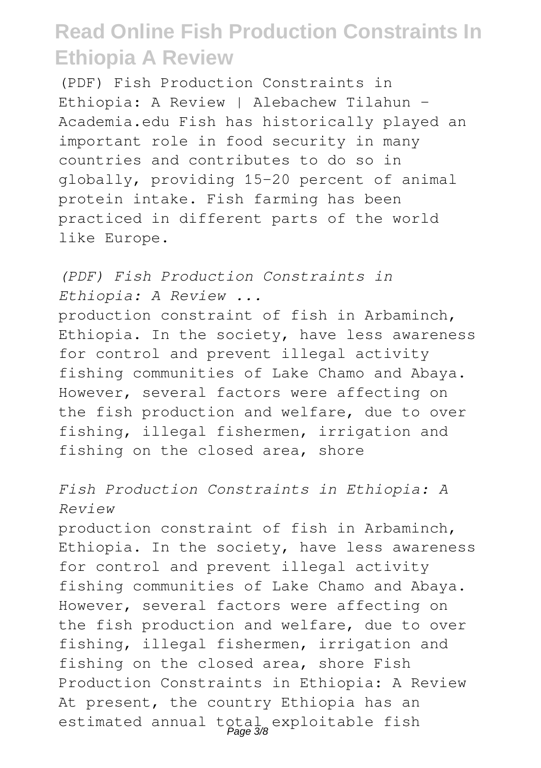(PDF) Fish Production Constraints in Ethiopia: A Review | Alebachew Tilahun - Academia.edu Fish has historically played an important role in food security in many countries and contributes to do so in globally, providing 15-20 percent of animal protein intake. Fish farming has been practiced in different parts of the world like Europe.

*(PDF) Fish Production Constraints in Ethiopia: A Review ...* production constraint of fish in Arbaminch, Ethiopia. In the society, have less awareness for control and prevent illegal activity fishing communities of Lake Chamo and Abaya. However, several factors were affecting on the fish production and welfare, due to over fishing, illegal fishermen, irrigation and fishing on the closed area, shore

#### *Fish Production Constraints in Ethiopia: A Review*

production constraint of fish in Arbaminch, Ethiopia. In the society, have less awareness for control and prevent illegal activity fishing communities of Lake Chamo and Abaya. However, several factors were affecting on the fish production and welfare, due to over fishing, illegal fishermen, irrigation and fishing on the closed area, shore Fish Production Constraints in Ethiopia: A Review At present, the country Ethiopia has an estimated annual total exploitable fish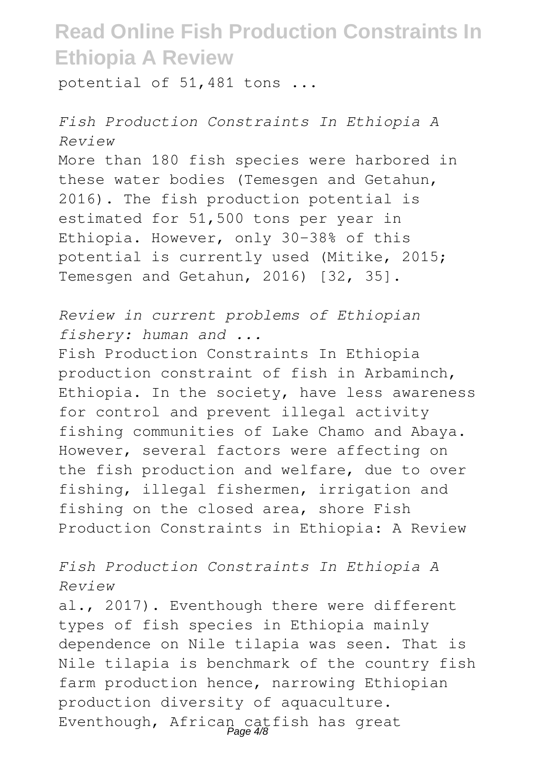potential of 51,481 tons ...

*Fish Production Constraints In Ethiopia A Review* More than 180 fish species were harbored in these water bodies (Temesgen and Getahun, 2016). The fish production potential is estimated for 51,500 tons per year in Ethiopia. However, only 30-38% of this potential is currently used (Mitike, 2015; Temesgen and Getahun, 2016) [32, 35].

*Review in current problems of Ethiopian fishery: human and ...*

Fish Production Constraints In Ethiopia production constraint of fish in Arbaminch, Ethiopia. In the society, have less awareness for control and prevent illegal activity fishing communities of Lake Chamo and Abaya. However, several factors were affecting on the fish production and welfare, due to over fishing, illegal fishermen, irrigation and fishing on the closed area, shore Fish Production Constraints in Ethiopia: A Review

*Fish Production Constraints In Ethiopia A Review*

al., 2017). Eventhough there were different types of fish species in Ethiopia mainly dependence on Nile tilapia was seen. That is Nile tilapia is benchmark of the country fish farm production hence, narrowing Ethiopian production diversity of aquaculture. Eventhough, African catfish has great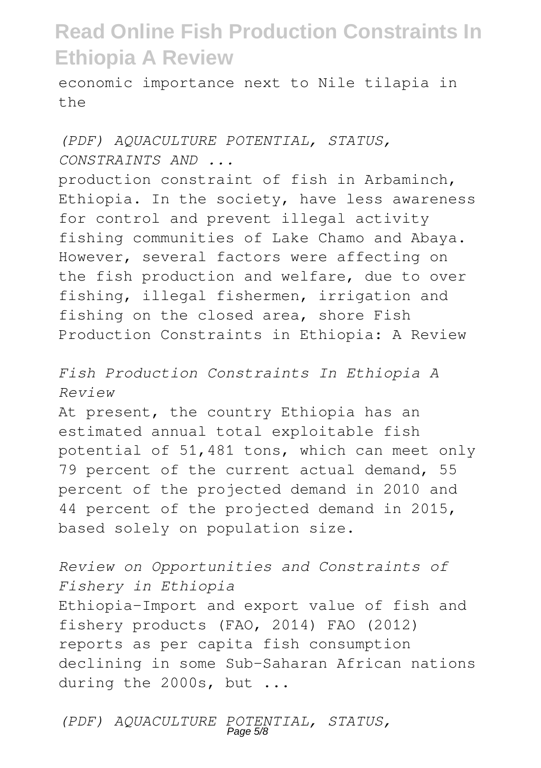economic importance next to Nile tilapia in  $th$ e

#### *(PDF) AQUACULTURE POTENTIAL, STATUS, CONSTRAINTS AND ...*

production constraint of fish in Arbaminch, Ethiopia. In the society, have less awareness for control and prevent illegal activity fishing communities of Lake Chamo and Abaya. However, several factors were affecting on the fish production and welfare, due to over fishing, illegal fishermen, irrigation and fishing on the closed area, shore Fish Production Constraints in Ethiopia: A Review

#### *Fish Production Constraints In Ethiopia A Review*

At present, the country Ethiopia has an estimated annual total exploitable fish potential of 51,481 tons, which can meet only 79 percent of the current actual demand, 55 percent of the projected demand in 2010 and 44 percent of the projected demand in 2015, based solely on population size.

*Review on Opportunities and Constraints of Fishery in Ethiopia* Ethiopia-Import and export value of fish and fishery products (FAO, 2014) FAO (2012) reports as per capita fish consumption declining in some Sub-Saharan African nations during the 2000s, but ...

*(PDF) AQUACULTURE POTENTIAL, STATUS,* Page 5/8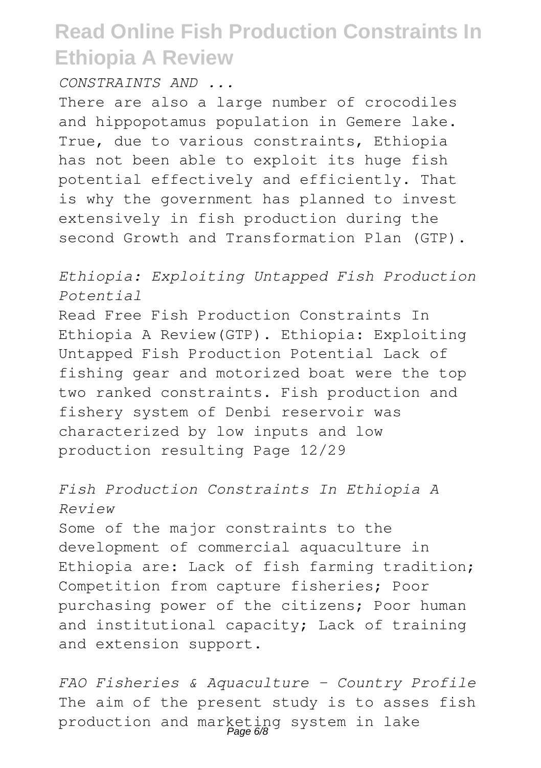*CONSTRAINTS AND ...*

There are also a large number of crocodiles and hippopotamus population in Gemere lake. True, due to various constraints, Ethiopia has not been able to exploit its huge fish potential effectively and efficiently. That is why the government has planned to invest extensively in fish production during the second Growth and Transformation Plan (GTP).

#### *Ethiopia: Exploiting Untapped Fish Production Potential*

Read Free Fish Production Constraints In Ethiopia A Review(GTP). Ethiopia: Exploiting Untapped Fish Production Potential Lack of fishing gear and motorized boat were the top two ranked constraints. Fish production and fishery system of Denbi reservoir was characterized by low inputs and low production resulting Page 12/29

#### *Fish Production Constraints In Ethiopia A Review*

Some of the major constraints to the development of commercial aquaculture in Ethiopia are: Lack of fish farming tradition; Competition from capture fisheries; Poor purchasing power of the citizens; Poor human and institutional capacity; Lack of training and extension support.

*FAO Fisheries & Aquaculture - Country Profile* The aim of the present study is to asses fish production and marketing system in lake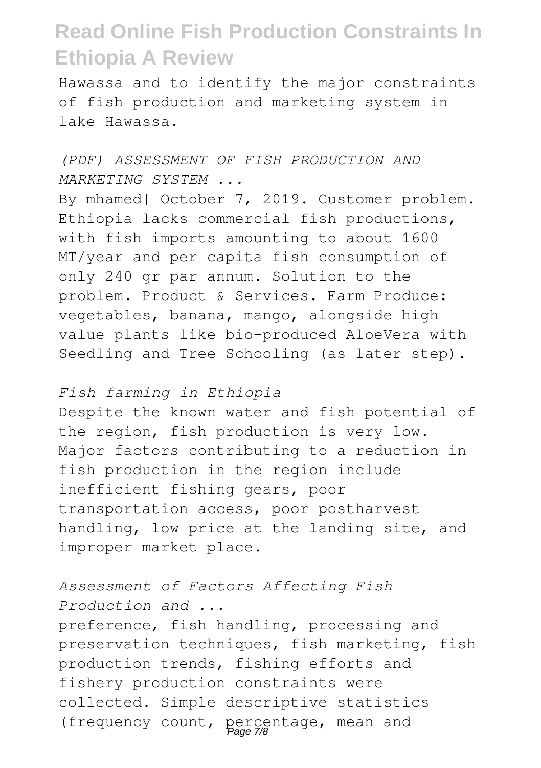Hawassa and to identify the major constraints of fish production and marketing system in lake Hawassa.

#### *(PDF) ASSESSMENT OF FISH PRODUCTION AND MARKETING SYSTEM ...*

By mhamed| October 7, 2019. Customer problem. Ethiopia lacks commercial fish productions, with fish imports amounting to about 1600 MT/year and per capita fish consumption of only 240 gr par annum. Solution to the problem. Product & Services. Farm Produce: vegetables, banana, mango, alongside high value plants like bio-produced AloeVera with Seedling and Tree Schooling (as later step).

#### *Fish farming in Ethiopia*

Despite the known water and fish potential of the region, fish production is very low. Major factors contributing to a reduction in fish production in the region include inefficient fishing gears, poor transportation access, poor postharvest handling, low price at the landing site, and improper market place.

#### *Assessment of Factors Affecting Fish Production and ...*

preference, fish handling, processing and preservation techniques, fish marketing, fish production trends, fishing efforts and fishery production constraints were collected. Simple descriptive statistics (frequency count, percentage, mean and Page 7/8